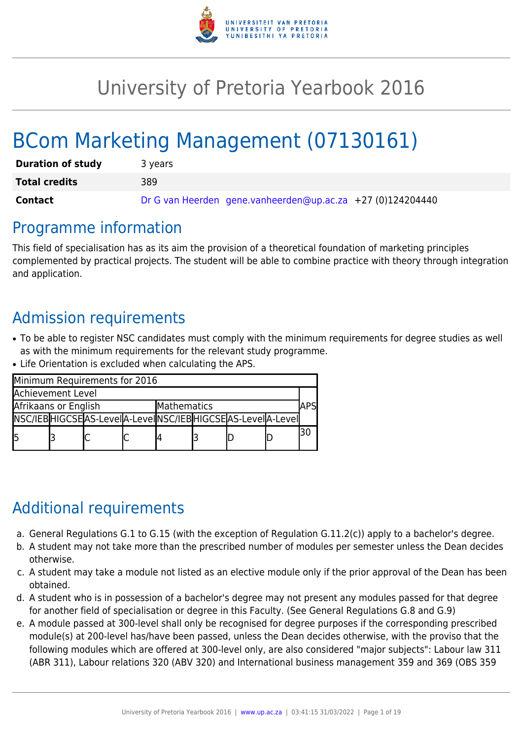

# University of Pretoria Yearbook 2016

# BCom Marketing Management (07130161)

| <b>Duration of study</b> | 3 years                                                    |
|--------------------------|------------------------------------------------------------|
| <b>Total credits</b>     | 389                                                        |
| Contact                  | Dr G van Heerden gene.vanheerden@up.ac.za +27 (0)124204440 |

### Programme information

This field of specialisation has as its aim the provision of a theoretical foundation of marketing principles complemented by practical projects. The student will be able to combine practice with theory through integration and application.

## Admission requirements

- To be able to register NSC candidates must comply with the minimum requirements for degree studies as well as with the minimum requirements for the relevant study programme.
- Life Orientation is excluded when calculating the APS.

| Minimum Requirements for 2016 |  |                                                          |             |  |  |  |  |  |
|-------------------------------|--|----------------------------------------------------------|-------------|--|--|--|--|--|
| Achievement Level             |  |                                                          |             |  |  |  |  |  |
| Afrikaans or English          |  |                                                          | Mathematics |  |  |  |  |  |
|                               |  | NSC/IEBHIGCSEAS-LevelA-LevelNSC/IEBHIGCSEAS-LevelA-Level |             |  |  |  |  |  |
| l5                            |  |                                                          |             |  |  |  |  |  |

## Additional requirements

- a. General Regulations G.1 to G.15 (with the exception of Regulation G.11.2(c)) apply to a bachelor's degree.
- b. A student may not take more than the prescribed number of modules per semester unless the Dean decides otherwise.
- c. A student may take a module not listed as an elective module only if the prior approval of the Dean has been obtained.
- d. A student who is in possession of a bachelor's degree may not present any modules passed for that degree for another field of specialisation or degree in this Faculty. (See General Regulations G.8 and G.9)
- e. A module passed at 300-level shall only be recognised for degree purposes if the corresponding prescribed module(s) at 200-level has/have been passed, unless the Dean decides otherwise, with the proviso that the following modules which are offered at 300-level only, are also considered "major subjects": Labour law 311 (ABR 311), Labour relations 320 (ABV 320) and International business management 359 and 369 (OBS 359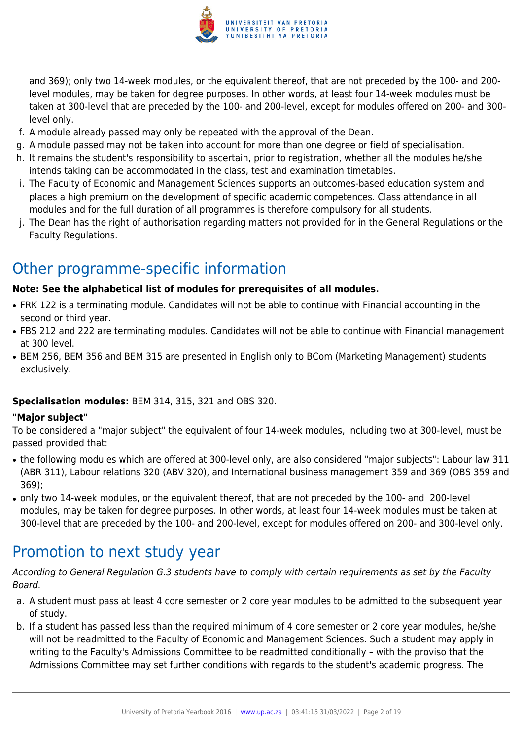

and 369); only two 14-week modules, or the equivalent thereof, that are not preceded by the 100- and 200 level modules, may be taken for degree purposes. In other words, at least four 14-week modules must be taken at 300-level that are preceded by the 100- and 200-level, except for modules offered on 200- and 300 level only.

- f. A module already passed may only be repeated with the approval of the Dean.
- g. A module passed may not be taken into account for more than one degree or field of specialisation.
- h. It remains the student's responsibility to ascertain, prior to registration, whether all the modules he/she intends taking can be accommodated in the class, test and examination timetables.
- i. The Faculty of Economic and Management Sciences supports an outcomes-based education system and places a high premium on the development of specific academic competences. Class attendance in all modules and for the full duration of all programmes is therefore compulsory for all students.
- j. The Dean has the right of authorisation regarding matters not provided for in the General Regulations or the Faculty Regulations.

## Other programme-specific information

#### **Note: See the alphabetical list of modules for prerequisites of all modules.**

- FRK 122 is a terminating module. Candidates will not be able to continue with Financial accounting in the second or third year.
- FBS 212 and 222 are terminating modules. Candidates will not be able to continue with Financial management at 300 level.
- BEM 256, BEM 356 and BEM 315 are presented in English only to BCom (Marketing Management) students exclusively.

#### **Specialisation modules:** BEM 314, 315, 321 and OBS 320.

#### **"Major subject"**

To be considered a "major subject" the equivalent of four 14-week modules, including two at 300-level, must be passed provided that:

- the following modules which are offered at 300-level only, are also considered "major subjects": Labour law 311 (ABR 311), Labour relations 320 (ABV 320), and International business management 359 and 369 (OBS 359 and 369);
- only two 14-week modules, or the equivalent thereof, that are not preceded by the 100- and 200-level modules, may be taken for degree purposes. In other words, at least four 14-week modules must be taken at 300-level that are preceded by the 100- and 200-level, except for modules offered on 200- and 300-level only.

### Promotion to next study year

According to General Regulation G.3 students have to comply with certain requirements as set by the Faculty Board.

- a. A student must pass at least 4 core semester or 2 core year modules to be admitted to the subsequent year of study.
- b. If a student has passed less than the required minimum of 4 core semester or 2 core year modules, he/she will not be readmitted to the Faculty of Economic and Management Sciences. Such a student may apply in writing to the Faculty's Admissions Committee to be readmitted conditionally – with the proviso that the Admissions Committee may set further conditions with regards to the student's academic progress. The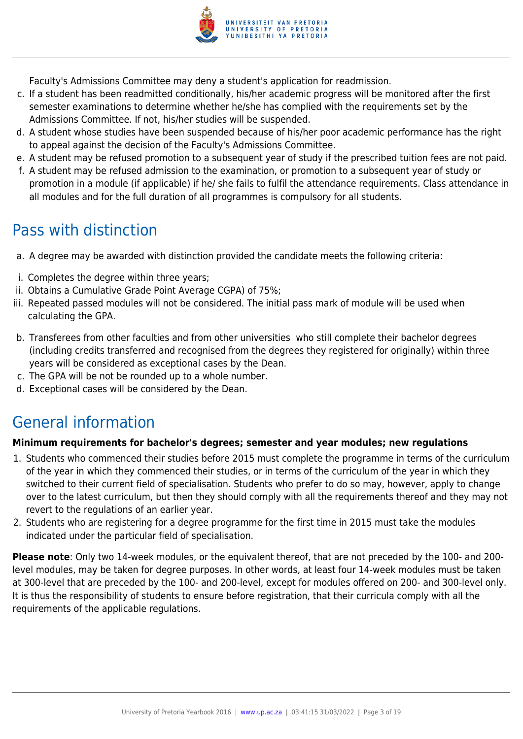

Faculty's Admissions Committee may deny a student's application for readmission.

- c. If a student has been readmitted conditionally, his/her academic progress will be monitored after the first semester examinations to determine whether he/she has complied with the requirements set by the Admissions Committee. If not, his/her studies will be suspended.
- d. A student whose studies have been suspended because of his/her poor academic performance has the right to appeal against the decision of the Faculty's Admissions Committee.
- e. A student may be refused promotion to a subsequent year of study if the prescribed tuition fees are not paid.
- f. A student may be refused admission to the examination, or promotion to a subsequent year of study or promotion in a module (if applicable) if he/ she fails to fulfil the attendance requirements. Class attendance in all modules and for the full duration of all programmes is compulsory for all students.

## Pass with distinction

- a. A degree may be awarded with distinction provided the candidate meets the following criteria:
- i. Completes the degree within three years;
- ii. Obtains a Cumulative Grade Point Average CGPA) of 75%;
- iii. Repeated passed modules will not be considered. The initial pass mark of module will be used when calculating the GPA.
- b. Transferees from other faculties and from other universities who still complete their bachelor degrees (including credits transferred and recognised from the degrees they registered for originally) within three years will be considered as exceptional cases by the Dean.
- c. The GPA will be not be rounded up to a whole number.
- d. Exceptional cases will be considered by the Dean.

### General information

#### **Minimum requirements for bachelor's degrees; semester and year modules; new regulations**

- 1. Students who commenced their studies before 2015 must complete the programme in terms of the curriculum of the year in which they commenced their studies, or in terms of the curriculum of the year in which they switched to their current field of specialisation. Students who prefer to do so may, however, apply to change over to the latest curriculum, but then they should comply with all the requirements thereof and they may not revert to the regulations of an earlier year.
- 2. Students who are registering for a degree programme for the first time in 2015 must take the modules indicated under the particular field of specialisation.

**Please note**: Only two 14-week modules, or the equivalent thereof, that are not preceded by the 100- and 200 level modules, may be taken for degree purposes. In other words, at least four 14-week modules must be taken at 300-level that are preceded by the 100- and 200-level, except for modules offered on 200- and 300-level only. It is thus the responsibility of students to ensure before registration, that their curricula comply with all the requirements of the applicable regulations.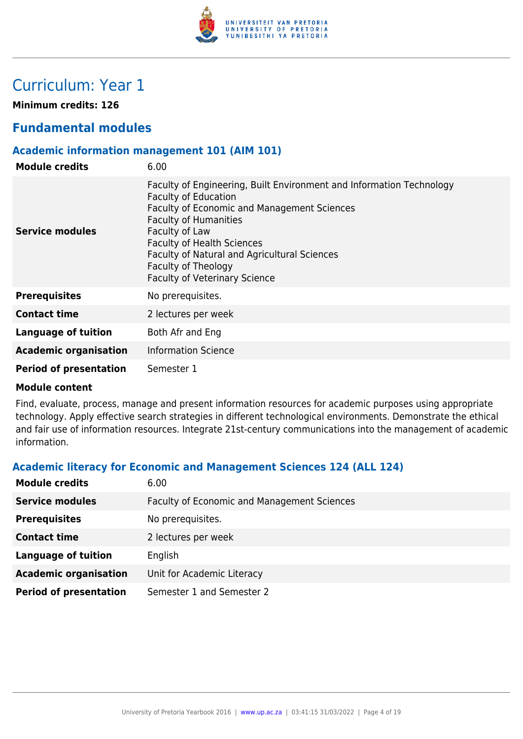

## Curriculum: Year 1

**Minimum credits: 126**

### **Fundamental modules**

#### **Academic information management 101 (AIM 101)**

| <b>Module credits</b>         | 6.00                                                                                                                                                                                                                                                                                                                                                     |
|-------------------------------|----------------------------------------------------------------------------------------------------------------------------------------------------------------------------------------------------------------------------------------------------------------------------------------------------------------------------------------------------------|
| <b>Service modules</b>        | Faculty of Engineering, Built Environment and Information Technology<br><b>Faculty of Education</b><br>Faculty of Economic and Management Sciences<br><b>Faculty of Humanities</b><br>Faculty of Law<br><b>Faculty of Health Sciences</b><br>Faculty of Natural and Agricultural Sciences<br>Faculty of Theology<br><b>Faculty of Veterinary Science</b> |
| <b>Prerequisites</b>          | No prerequisites.                                                                                                                                                                                                                                                                                                                                        |
| <b>Contact time</b>           | 2 lectures per week                                                                                                                                                                                                                                                                                                                                      |
| Language of tuition           | Both Afr and Eng                                                                                                                                                                                                                                                                                                                                         |
| <b>Academic organisation</b>  | <b>Information Science</b>                                                                                                                                                                                                                                                                                                                               |
| <b>Period of presentation</b> | Semester 1                                                                                                                                                                                                                                                                                                                                               |

#### **Module content**

Find, evaluate, process, manage and present information resources for academic purposes using appropriate technology. Apply effective search strategies in different technological environments. Demonstrate the ethical and fair use of information resources. Integrate 21st-century communications into the management of academic information.

#### **Academic literacy for Economic and Management Sciences 124 (ALL 124)**

| <b>Module credits</b>         | 6.00                                               |
|-------------------------------|----------------------------------------------------|
| <b>Service modules</b>        | <b>Faculty of Economic and Management Sciences</b> |
| <b>Prerequisites</b>          | No prerequisites.                                  |
| <b>Contact time</b>           | 2 lectures per week                                |
| <b>Language of tuition</b>    | English                                            |
| <b>Academic organisation</b>  | Unit for Academic Literacy                         |
| <b>Period of presentation</b> | Semester 1 and Semester 2                          |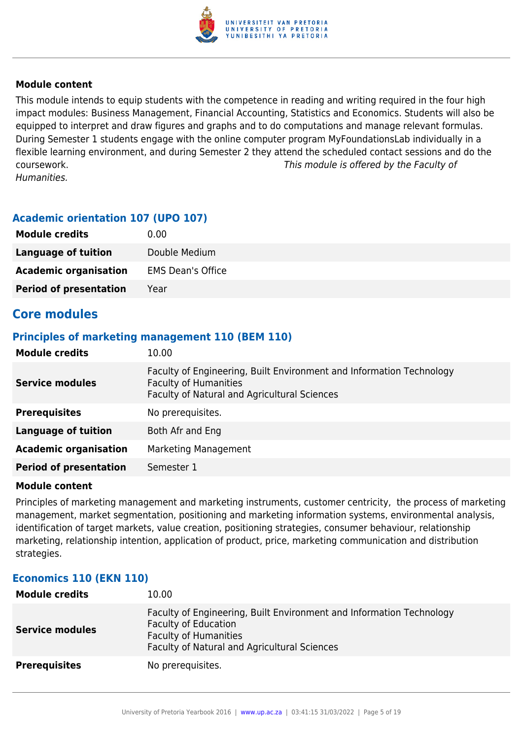

This module intends to equip students with the competence in reading and writing required in the four high impact modules: Business Management, Financial Accounting, Statistics and Economics. Students will also be equipped to interpret and draw figures and graphs and to do computations and manage relevant formulas. During Semester 1 students engage with the online computer program MyFoundationsLab individually in a flexible learning environment, and during Semester 2 they attend the scheduled contact sessions and do the coursework. This module is offered by the Faculty of Humanities.

#### **Academic orientation 107 (UPO 107)**

| <b>Module credits</b>         | 0.00                     |
|-------------------------------|--------------------------|
| Language of tuition           | Double Medium            |
| <b>Academic organisation</b>  | <b>EMS Dean's Office</b> |
| <b>Period of presentation</b> | Year                     |

### **Core modules**

#### **Principles of marketing management 110 (BEM 110)**

| <b>Module credits</b>         | 10.00                                                                                                                                                |
|-------------------------------|------------------------------------------------------------------------------------------------------------------------------------------------------|
| <b>Service modules</b>        | Faculty of Engineering, Built Environment and Information Technology<br><b>Faculty of Humanities</b><br>Faculty of Natural and Agricultural Sciences |
| <b>Prerequisites</b>          | No prerequisites.                                                                                                                                    |
| <b>Language of tuition</b>    | Both Afr and Eng                                                                                                                                     |
| <b>Academic organisation</b>  | <b>Marketing Management</b>                                                                                                                          |
| <b>Period of presentation</b> | Semester 1                                                                                                                                           |

#### **Module content**

Principles of marketing management and marketing instruments, customer centricity, the process of marketing management, market segmentation, positioning and marketing information systems, environmental analysis, identification of target markets, value creation, positioning strategies, consumer behaviour, relationship marketing, relationship intention, application of product, price, marketing communication and distribution strategies.

#### **Economics 110 (EKN 110)**

| <b>Module credits</b>  | 10.00                                                                                                                                                                               |
|------------------------|-------------------------------------------------------------------------------------------------------------------------------------------------------------------------------------|
| <b>Service modules</b> | Faculty of Engineering, Built Environment and Information Technology<br><b>Faculty of Education</b><br><b>Faculty of Humanities</b><br>Faculty of Natural and Agricultural Sciences |
| <b>Prerequisites</b>   | No prerequisites.                                                                                                                                                                   |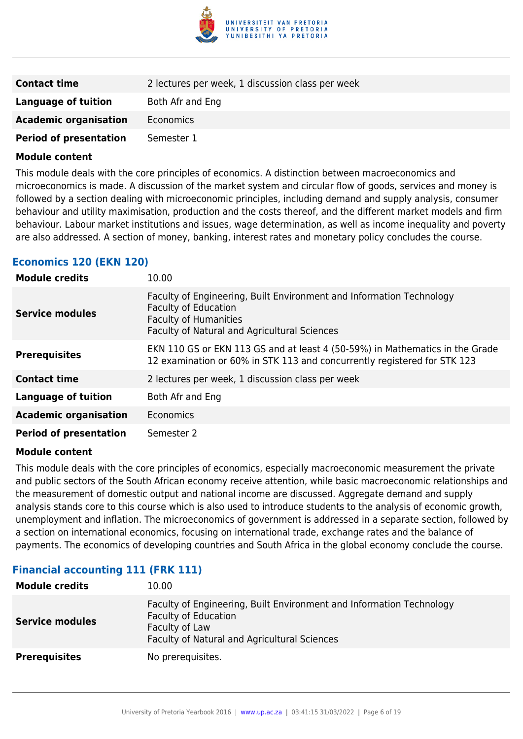

| <b>Contact time</b>           | 2 lectures per week, 1 discussion class per week |
|-------------------------------|--------------------------------------------------|
| Language of tuition           | Both Afr and Eng                                 |
| <b>Academic organisation</b>  | Economics                                        |
| <b>Period of presentation</b> | Semester 1                                       |

This module deals with the core principles of economics. A distinction between macroeconomics and microeconomics is made. A discussion of the market system and circular flow of goods, services and money is followed by a section dealing with microeconomic principles, including demand and supply analysis, consumer behaviour and utility maximisation, production and the costs thereof, and the different market models and firm behaviour. Labour market institutions and issues, wage determination, as well as income inequality and poverty are also addressed. A section of money, banking, interest rates and monetary policy concludes the course.

#### **Economics 120 (EKN 120)**

| <b>Module credits</b>         | 10.00                                                                                                                                                                               |
|-------------------------------|-------------------------------------------------------------------------------------------------------------------------------------------------------------------------------------|
| Service modules               | Faculty of Engineering, Built Environment and Information Technology<br><b>Faculty of Education</b><br><b>Faculty of Humanities</b><br>Faculty of Natural and Agricultural Sciences |
| <b>Prerequisites</b>          | EKN 110 GS or EKN 113 GS and at least 4 (50-59%) in Mathematics in the Grade<br>12 examination or 60% in STK 113 and concurrently registered for STK 123                            |
| <b>Contact time</b>           | 2 lectures per week, 1 discussion class per week                                                                                                                                    |
| <b>Language of tuition</b>    | Both Afr and Eng                                                                                                                                                                    |
| <b>Academic organisation</b>  | <b>Economics</b>                                                                                                                                                                    |
| <b>Period of presentation</b> | Semester 2                                                                                                                                                                          |

#### **Module content**

This module deals with the core principles of economics, especially macroeconomic measurement the private and public sectors of the South African economy receive attention, while basic macroeconomic relationships and the measurement of domestic output and national income are discussed. Aggregate demand and supply analysis stands core to this course which is also used to introduce students to the analysis of economic growth, unemployment and inflation. The microeconomics of government is addressed in a separate section, followed by a section on international economics, focusing on international trade, exchange rates and the balance of payments. The economics of developing countries and South Africa in the global economy conclude the course.

| <b>Module credits</b>  | 10.00                                                                                                                                                                 |
|------------------------|-----------------------------------------------------------------------------------------------------------------------------------------------------------------------|
| <b>Service modules</b> | Faculty of Engineering, Built Environment and Information Technology<br><b>Faculty of Education</b><br>Faculty of Law<br>Faculty of Natural and Agricultural Sciences |
| <b>Prerequisites</b>   | No prerequisites.                                                                                                                                                     |

#### **Financial accounting 111 (FRK 111)**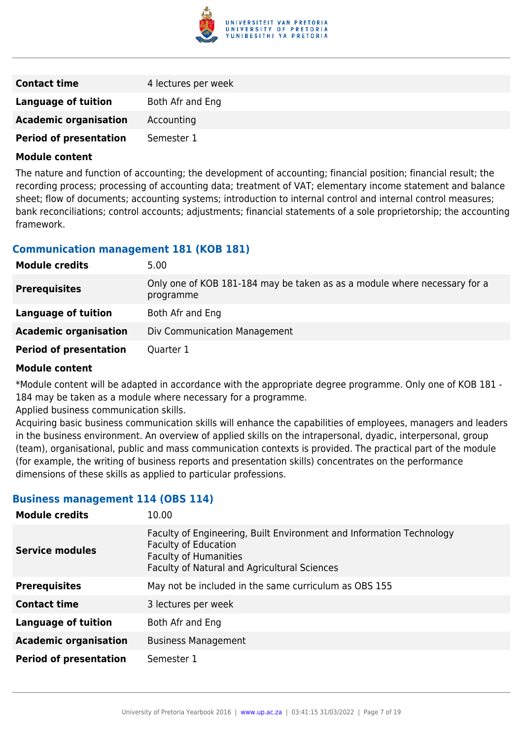

| <b>Contact time</b>           | 4 lectures per week |
|-------------------------------|---------------------|
| Language of tuition           | Both Afr and Eng    |
| <b>Academic organisation</b>  | Accounting          |
| <b>Period of presentation</b> | Semester 1          |

The nature and function of accounting; the development of accounting; financial position; financial result; the recording process; processing of accounting data; treatment of VAT; elementary income statement and balance sheet; flow of documents; accounting systems; introduction to internal control and internal control measures; bank reconciliations; control accounts; adjustments; financial statements of a sole proprietorship; the accounting framework.

#### **Communication management 181 (KOB 181)**

| <b>Module credits</b>         | 5.00                                                                                   |
|-------------------------------|----------------------------------------------------------------------------------------|
| <b>Prerequisites</b>          | Only one of KOB 181-184 may be taken as as a module where necessary for a<br>programme |
| Language of tuition           | Both Afr and Eng                                                                       |
| <b>Academic organisation</b>  | Div Communication Management                                                           |
| <b>Period of presentation</b> | Quarter 1                                                                              |

#### **Module content**

\*Module content will be adapted in accordance with the appropriate degree programme. Only one of KOB 181 - 184 may be taken as a module where necessary for a programme.

Applied business communication skills.

Acquiring basic business communication skills will enhance the capabilities of employees, managers and leaders in the business environment. An overview of applied skills on the intrapersonal, dyadic, interpersonal, group (team), organisational, public and mass communication contexts is provided. The practical part of the module (for example, the writing of business reports and presentation skills) concentrates on the performance dimensions of these skills as applied to particular professions.

#### **Business management 114 (OBS 114)**

| <b>Module credits</b>         | 10.00                                                                                                                                                                               |
|-------------------------------|-------------------------------------------------------------------------------------------------------------------------------------------------------------------------------------|
| <b>Service modules</b>        | Faculty of Engineering, Built Environment and Information Technology<br><b>Faculty of Education</b><br><b>Faculty of Humanities</b><br>Faculty of Natural and Agricultural Sciences |
| <b>Prerequisites</b>          | May not be included in the same curriculum as OBS 155                                                                                                                               |
| <b>Contact time</b>           | 3 lectures per week                                                                                                                                                                 |
| <b>Language of tuition</b>    | Both Afr and Eng                                                                                                                                                                    |
| <b>Academic organisation</b>  | <b>Business Management</b>                                                                                                                                                          |
| <b>Period of presentation</b> | Semester 1                                                                                                                                                                          |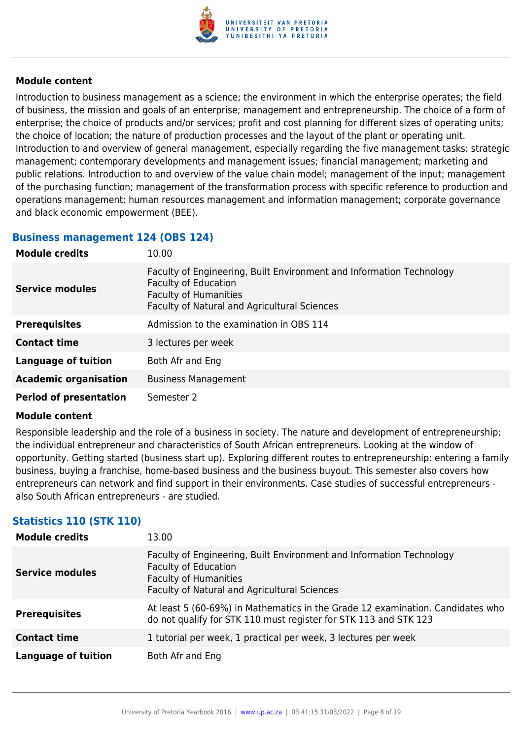

Introduction to business management as a science; the environment in which the enterprise operates; the field of business, the mission and goals of an enterprise; management and entrepreneurship. The choice of a form of enterprise; the choice of products and/or services; profit and cost planning for different sizes of operating units; the choice of location; the nature of production processes and the layout of the plant or operating unit. Introduction to and overview of general management, especially regarding the five management tasks: strategic management; contemporary developments and management issues; financial management; marketing and public relations. Introduction to and overview of the value chain model; management of the input; management of the purchasing function; management of the transformation process with specific reference to production and operations management; human resources management and information management; corporate governance and black economic empowerment (BEE).

#### **Business management 124 (OBS 124)**

| <b>Module credits</b>         | 10.00                                                                                                                                                                               |
|-------------------------------|-------------------------------------------------------------------------------------------------------------------------------------------------------------------------------------|
| <b>Service modules</b>        | Faculty of Engineering, Built Environment and Information Technology<br><b>Faculty of Education</b><br><b>Faculty of Humanities</b><br>Faculty of Natural and Agricultural Sciences |
| <b>Prerequisites</b>          | Admission to the examination in OBS 114                                                                                                                                             |
| <b>Contact time</b>           | 3 lectures per week                                                                                                                                                                 |
| Language of tuition           | Both Afr and Eng                                                                                                                                                                    |
| <b>Academic organisation</b>  | <b>Business Management</b>                                                                                                                                                          |
| <b>Period of presentation</b> | Semester 2                                                                                                                                                                          |

#### **Module content**

Responsible leadership and the role of a business in society. The nature and development of entrepreneurship; the individual entrepreneur and characteristics of South African entrepreneurs. Looking at the window of opportunity. Getting started (business start up). Exploring different routes to entrepreneurship: entering a family business, buying a franchise, home-based business and the business buyout. This semester also covers how entrepreneurs can network and find support in their environments. Case studies of successful entrepreneurs also South African entrepreneurs - are studied.

#### **Statistics 110 (STK 110)**

| <b>Module credits</b>      | 13.00                                                                                                                                                                               |
|----------------------------|-------------------------------------------------------------------------------------------------------------------------------------------------------------------------------------|
| <b>Service modules</b>     | Faculty of Engineering, Built Environment and Information Technology<br><b>Faculty of Education</b><br><b>Faculty of Humanities</b><br>Faculty of Natural and Agricultural Sciences |
| <b>Prerequisites</b>       | At least 5 (60-69%) in Mathematics in the Grade 12 examination. Candidates who<br>do not qualify for STK 110 must register for STK 113 and STK 123                                  |
| <b>Contact time</b>        | 1 tutorial per week, 1 practical per week, 3 lectures per week                                                                                                                      |
| <b>Language of tuition</b> | Both Afr and Eng                                                                                                                                                                    |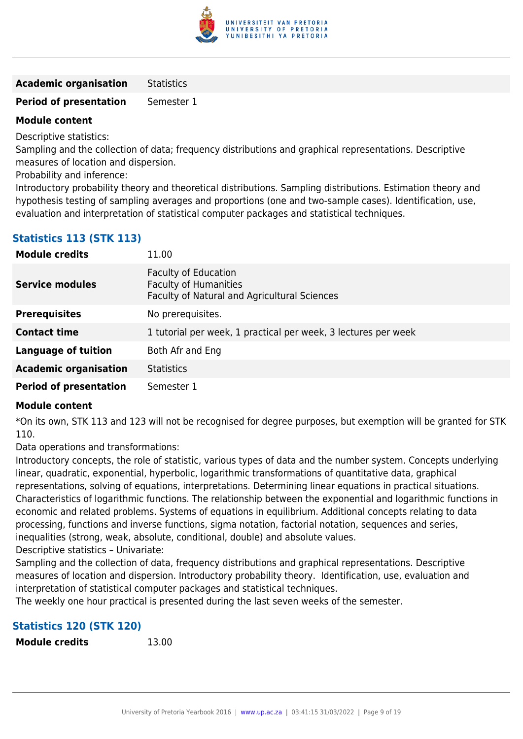

**Academic organisation** Statistics

**Period of presentation** Semester 1

#### **Module content**

Descriptive statistics:

Sampling and the collection of data; frequency distributions and graphical representations. Descriptive measures of location and dispersion.

Probability and inference:

Introductory probability theory and theoretical distributions. Sampling distributions. Estimation theory and hypothesis testing of sampling averages and proportions (one and two-sample cases). Identification, use, evaluation and interpretation of statistical computer packages and statistical techniques.

| <b>Module credits</b>         | 11.00                                                                                                       |
|-------------------------------|-------------------------------------------------------------------------------------------------------------|
| <b>Service modules</b>        | <b>Faculty of Education</b><br><b>Faculty of Humanities</b><br>Faculty of Natural and Agricultural Sciences |
| <b>Prerequisites</b>          | No prerequisites.                                                                                           |
| <b>Contact time</b>           | 1 tutorial per week, 1 practical per week, 3 lectures per week                                              |
| Language of tuition           | Both Afr and Eng                                                                                            |
| <b>Academic organisation</b>  | <b>Statistics</b>                                                                                           |
| <b>Period of presentation</b> | Semester 1                                                                                                  |

#### **Module content**

\*On its own, STK 113 and 123 will not be recognised for degree purposes, but exemption will be granted for STK 110.

Data operations and transformations:

Introductory concepts, the role of statistic, various types of data and the number system. Concepts underlying linear, quadratic, exponential, hyperbolic, logarithmic transformations of quantitative data, graphical representations, solving of equations, interpretations. Determining linear equations in practical situations. Characteristics of logarithmic functions. The relationship between the exponential and logarithmic functions in economic and related problems. Systems of equations in equilibrium. Additional concepts relating to data processing, functions and inverse functions, sigma notation, factorial notation, sequences and series, inequalities (strong, weak, absolute, conditional, double) and absolute values.

Descriptive statistics – Univariate:

Sampling and the collection of data, frequency distributions and graphical representations. Descriptive measures of location and dispersion. Introductory probability theory. Identification, use, evaluation and interpretation of statistical computer packages and statistical techniques.

The weekly one hour practical is presented during the last seven weeks of the semester.

### **Statistics 120 (STK 120)**

**Module credits** 13.00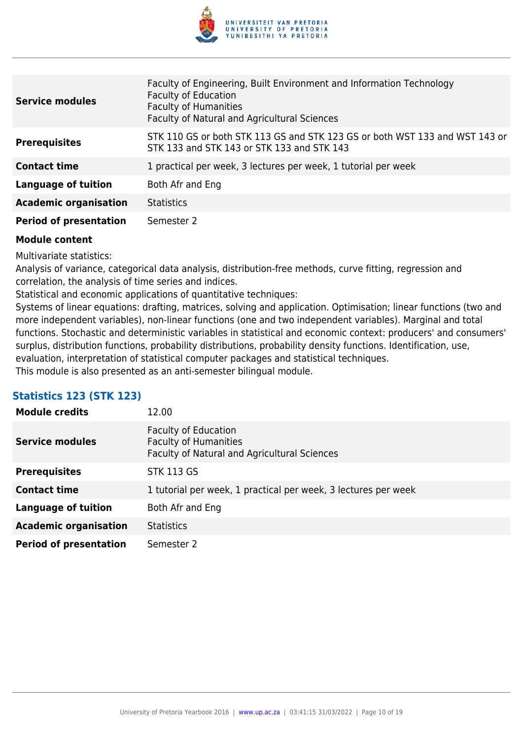

| <b>Service modules</b>        | Faculty of Engineering, Built Environment and Information Technology<br><b>Faculty of Education</b><br><b>Faculty of Humanities</b><br>Faculty of Natural and Agricultural Sciences |
|-------------------------------|-------------------------------------------------------------------------------------------------------------------------------------------------------------------------------------|
| <b>Prerequisites</b>          | STK 110 GS or both STK 113 GS and STK 123 GS or both WST 133 and WST 143 or<br>STK 133 and STK 143 or STK 133 and STK 143                                                           |
| <b>Contact time</b>           | 1 practical per week, 3 lectures per week, 1 tutorial per week                                                                                                                      |
| <b>Language of tuition</b>    | Both Afr and Eng                                                                                                                                                                    |
| <b>Academic organisation</b>  | <b>Statistics</b>                                                                                                                                                                   |
| <b>Period of presentation</b> | Semester 2                                                                                                                                                                          |

Multivariate statistics:

Analysis of variance, categorical data analysis, distribution-free methods, curve fitting, regression and correlation, the analysis of time series and indices.

Statistical and economic applications of quantitative techniques:

Systems of linear equations: drafting, matrices, solving and application. Optimisation; linear functions (two and more independent variables), non-linear functions (one and two independent variables). Marginal and total functions. Stochastic and deterministic variables in statistical and economic context: producers' and consumers' surplus, distribution functions, probability distributions, probability density functions. Identification, use, evaluation, interpretation of statistical computer packages and statistical techniques. This module is also presented as an anti-semester bilingual module.

#### **Statistics 123 (STK 123)**

| <b>Module credits</b>         | 12.00                                                                                                       |
|-------------------------------|-------------------------------------------------------------------------------------------------------------|
| <b>Service modules</b>        | <b>Faculty of Education</b><br><b>Faculty of Humanities</b><br>Faculty of Natural and Agricultural Sciences |
| <b>Prerequisites</b>          | <b>STK 113 GS</b>                                                                                           |
| <b>Contact time</b>           | 1 tutorial per week, 1 practical per week, 3 lectures per week                                              |
| <b>Language of tuition</b>    | Both Afr and Eng                                                                                            |
| <b>Academic organisation</b>  | <b>Statistics</b>                                                                                           |
| <b>Period of presentation</b> | Semester 2                                                                                                  |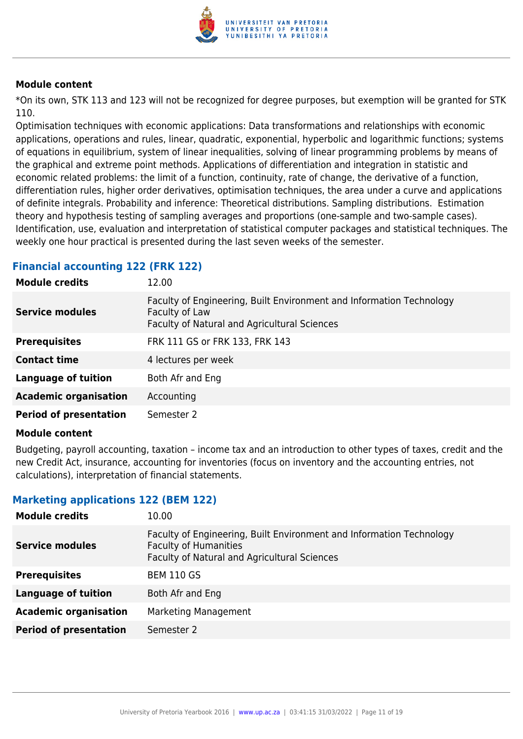

\*On its own, STK 113 and 123 will not be recognized for degree purposes, but exemption will be granted for STK 110.

Optimisation techniques with economic applications: Data transformations and relationships with economic applications, operations and rules, linear, quadratic, exponential, hyperbolic and logarithmic functions; systems of equations in equilibrium, system of linear inequalities, solving of linear programming problems by means of the graphical and extreme point methods. Applications of differentiation and integration in statistic and economic related problems: the limit of a function, continuity, rate of change, the derivative of a function, differentiation rules, higher order derivatives, optimisation techniques, the area under a curve and applications of definite integrals. Probability and inference: Theoretical distributions. Sampling distributions. Estimation theory and hypothesis testing of sampling averages and proportions (one-sample and two-sample cases). Identification, use, evaluation and interpretation of statistical computer packages and statistical techniques. The weekly one hour practical is presented during the last seven weeks of the semester.

#### **Financial accounting 122 (FRK 122)**

| <b>Module credits</b>         | 12.00                                                                                                                                  |
|-------------------------------|----------------------------------------------------------------------------------------------------------------------------------------|
| <b>Service modules</b>        | Faculty of Engineering, Built Environment and Information Technology<br>Faculty of Law<br>Faculty of Natural and Agricultural Sciences |
| <b>Prerequisites</b>          | FRK 111 GS or FRK 133, FRK 143                                                                                                         |
| <b>Contact time</b>           | 4 lectures per week                                                                                                                    |
| <b>Language of tuition</b>    | Both Afr and Eng                                                                                                                       |
| <b>Academic organisation</b>  | Accounting                                                                                                                             |
| <b>Period of presentation</b> | Semester 2                                                                                                                             |

#### **Module content**

Budgeting, payroll accounting, taxation – income tax and an introduction to other types of taxes, credit and the new Credit Act, insurance, accounting for inventories (focus on inventory and the accounting entries, not calculations), interpretation of financial statements.

#### **Marketing applications 122 (BEM 122)**

| <b>Module credits</b>         | 10.00                                                                                                                                                |
|-------------------------------|------------------------------------------------------------------------------------------------------------------------------------------------------|
| <b>Service modules</b>        | Faculty of Engineering, Built Environment and Information Technology<br><b>Faculty of Humanities</b><br>Faculty of Natural and Agricultural Sciences |
| <b>Prerequisites</b>          | <b>BEM 110 GS</b>                                                                                                                                    |
| Language of tuition           | Both Afr and Eng                                                                                                                                     |
| <b>Academic organisation</b>  | Marketing Management                                                                                                                                 |
| <b>Period of presentation</b> | Semester 2                                                                                                                                           |
|                               |                                                                                                                                                      |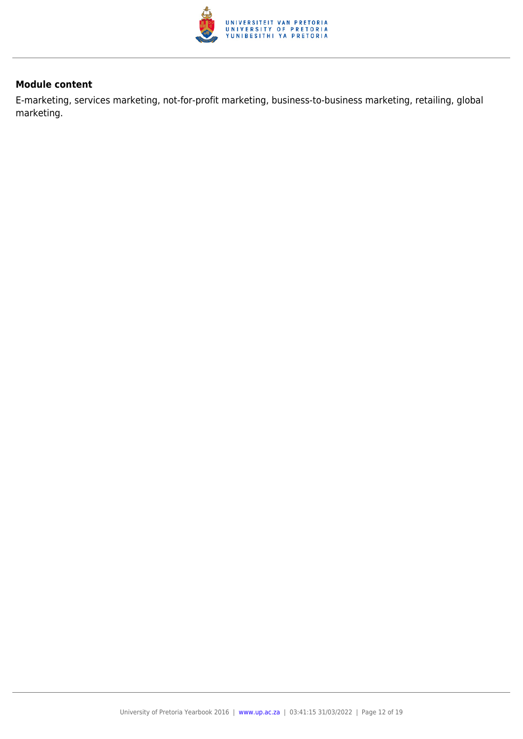

E-marketing, services marketing, not-for-profit marketing, business-to-business marketing, retailing, global marketing.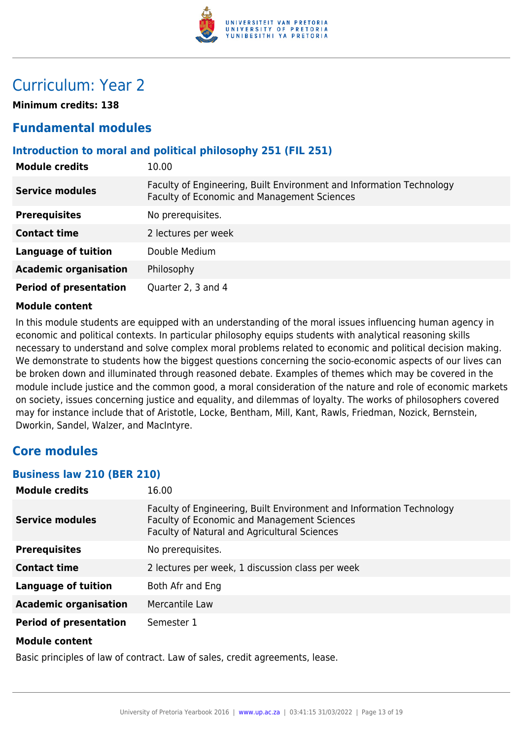

## Curriculum: Year 2

**Minimum credits: 138**

### **Fundamental modules**

#### **Introduction to moral and political philosophy 251 (FIL 251)**

| <b>Module credits</b>         | 10.00                                                                                                               |
|-------------------------------|---------------------------------------------------------------------------------------------------------------------|
| <b>Service modules</b>        | Faculty of Engineering, Built Environment and Information Technology<br>Faculty of Economic and Management Sciences |
| <b>Prerequisites</b>          | No prerequisites.                                                                                                   |
| <b>Contact time</b>           | 2 lectures per week                                                                                                 |
| <b>Language of tuition</b>    | Double Medium                                                                                                       |
| <b>Academic organisation</b>  | Philosophy                                                                                                          |
| <b>Period of presentation</b> | Quarter 2, 3 and 4                                                                                                  |

#### **Module content**

In this module students are equipped with an understanding of the moral issues influencing human agency in economic and political contexts. In particular philosophy equips students with analytical reasoning skills necessary to understand and solve complex moral problems related to economic and political decision making. We demonstrate to students how the biggest questions concerning the socio-economic aspects of our lives can be broken down and illuminated through reasoned debate. Examples of themes which may be covered in the module include justice and the common good, a moral consideration of the nature and role of economic markets on society, issues concerning justice and equality, and dilemmas of loyalty. The works of philosophers covered may for instance include that of Aristotle, Locke, Bentham, Mill, Kant, Rawls, Friedman, Nozick, Bernstein, Dworkin, Sandel, Walzer, and MacIntyre.

### **Core modules**

#### **Business law 210 (BER 210)**

| <b>Module credits</b>         | 16.00                                                                                                                                                               |
|-------------------------------|---------------------------------------------------------------------------------------------------------------------------------------------------------------------|
| <b>Service modules</b>        | Faculty of Engineering, Built Environment and Information Technology<br>Faculty of Economic and Management Sciences<br>Faculty of Natural and Agricultural Sciences |
| <b>Prerequisites</b>          | No prerequisites.                                                                                                                                                   |
| <b>Contact time</b>           | 2 lectures per week, 1 discussion class per week                                                                                                                    |
| <b>Language of tuition</b>    | Both Afr and Eng                                                                                                                                                    |
| <b>Academic organisation</b>  | Mercantile Law                                                                                                                                                      |
| <b>Period of presentation</b> | Semester 1                                                                                                                                                          |
| <b>Module content</b>         |                                                                                                                                                                     |

Basic principles of law of contract. Law of sales, credit agreements, lease.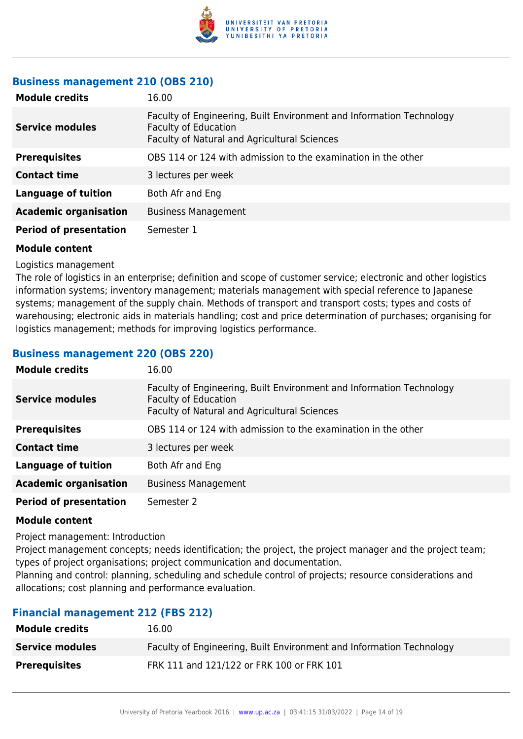

#### **Business management 210 (OBS 210)**

| <b>Module credits</b>         | 16.00                                                                                                                                               |
|-------------------------------|-----------------------------------------------------------------------------------------------------------------------------------------------------|
| <b>Service modules</b>        | Faculty of Engineering, Built Environment and Information Technology<br><b>Faculty of Education</b><br>Faculty of Natural and Agricultural Sciences |
| <b>Prerequisites</b>          | OBS 114 or 124 with admission to the examination in the other                                                                                       |
| <b>Contact time</b>           | 3 lectures per week                                                                                                                                 |
| Language of tuition           | Both Afr and Eng                                                                                                                                    |
| <b>Academic organisation</b>  | <b>Business Management</b>                                                                                                                          |
| <b>Period of presentation</b> | Semester 1                                                                                                                                          |

#### **Module content**

Logistics management

The role of logistics in an enterprise; definition and scope of customer service; electronic and other logistics information systems; inventory management; materials management with special reference to Japanese systems; management of the supply chain. Methods of transport and transport costs; types and costs of warehousing; electronic aids in materials handling; cost and price determination of purchases; organising for logistics management; methods for improving logistics performance.

#### **Business management 220 (OBS 220)**

| <b>Module credits</b>         | 16.00                                                                                                                                               |
|-------------------------------|-----------------------------------------------------------------------------------------------------------------------------------------------------|
| <b>Service modules</b>        | Faculty of Engineering, Built Environment and Information Technology<br><b>Faculty of Education</b><br>Faculty of Natural and Agricultural Sciences |
| <b>Prerequisites</b>          | OBS 114 or 124 with admission to the examination in the other                                                                                       |
| <b>Contact time</b>           | 3 lectures per week                                                                                                                                 |
| <b>Language of tuition</b>    | Both Afr and Eng                                                                                                                                    |
| <b>Academic organisation</b>  | <b>Business Management</b>                                                                                                                          |
| <b>Period of presentation</b> | Semester 2                                                                                                                                          |

#### **Module content**

Project management: Introduction

Project management concepts; needs identification; the project, the project manager and the project team; types of project organisations; project communication and documentation.

Planning and control: planning, scheduling and schedule control of projects; resource considerations and allocations; cost planning and performance evaluation.

#### **Financial management 212 (FBS 212)**

| <b>Module credits</b>  | 16.00                                                                |
|------------------------|----------------------------------------------------------------------|
| <b>Service modules</b> | Faculty of Engineering, Built Environment and Information Technology |
| <b>Prerequisites</b>   | FRK 111 and 121/122 or FRK 100 or FRK 101                            |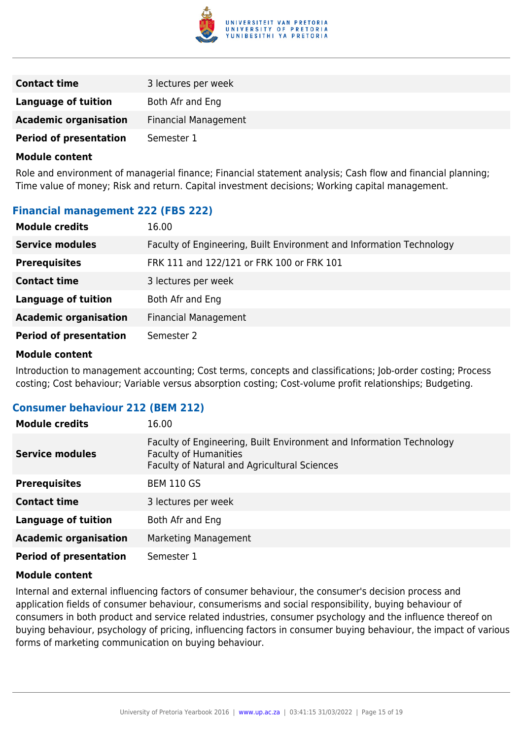

| <b>Contact time</b>           | 3 lectures per week         |
|-------------------------------|-----------------------------|
| Language of tuition           | Both Afr and Eng            |
| <b>Academic organisation</b>  | <b>Financial Management</b> |
| <b>Period of presentation</b> | Semester 1                  |

Role and environment of managerial finance; Financial statement analysis; Cash flow and financial planning; Time value of money; Risk and return. Capital investment decisions; Working capital management.

#### **Financial management 222 (FBS 222)**

| <b>Module credits</b>         | 16.00                                                                |
|-------------------------------|----------------------------------------------------------------------|
| <b>Service modules</b>        | Faculty of Engineering, Built Environment and Information Technology |
| <b>Prerequisites</b>          | FRK 111 and 122/121 or FRK 100 or FRK 101                            |
| <b>Contact time</b>           | 3 lectures per week                                                  |
| <b>Language of tuition</b>    | Both Afr and Eng                                                     |
| <b>Academic organisation</b>  | <b>Financial Management</b>                                          |
| <b>Period of presentation</b> | Semester 2                                                           |

#### **Module content**

Introduction to management accounting; Cost terms, concepts and classifications; Job-order costing; Process costing; Cost behaviour; Variable versus absorption costing; Cost-volume profit relationships; Budgeting.

#### **Consumer behaviour 212 (BEM 212)**

| <b>Module credits</b>         | 16.00                                                                                                                                                |
|-------------------------------|------------------------------------------------------------------------------------------------------------------------------------------------------|
| <b>Service modules</b>        | Faculty of Engineering, Built Environment and Information Technology<br><b>Faculty of Humanities</b><br>Faculty of Natural and Agricultural Sciences |
| <b>Prerequisites</b>          | <b>BEM 110 GS</b>                                                                                                                                    |
| <b>Contact time</b>           | 3 lectures per week                                                                                                                                  |
| <b>Language of tuition</b>    | Both Afr and Eng                                                                                                                                     |
| <b>Academic organisation</b>  | Marketing Management                                                                                                                                 |
| <b>Period of presentation</b> | Semester 1                                                                                                                                           |

#### **Module content**

Internal and external influencing factors of consumer behaviour, the consumer's decision process and application fields of consumer behaviour, consumerisms and social responsibility, buying behaviour of consumers in both product and service related industries, consumer psychology and the influence thereof on buying behaviour, psychology of pricing, influencing factors in consumer buying behaviour, the impact of various forms of marketing communication on buying behaviour.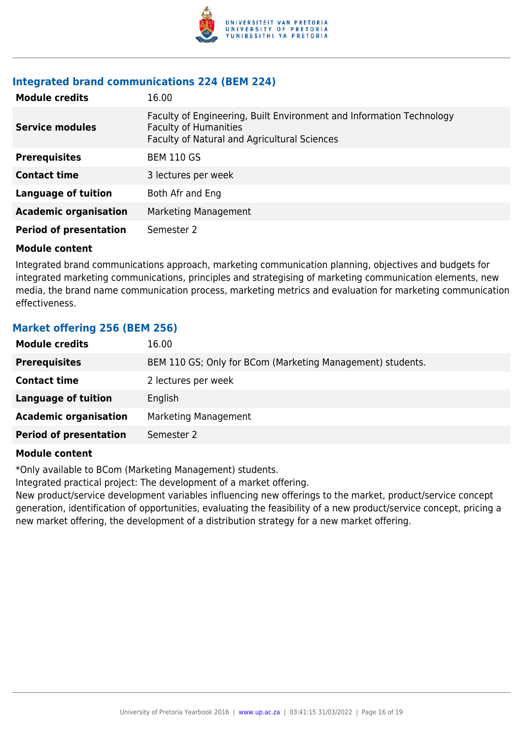

### **Integrated brand communications 224 (BEM 224)**

| <b>Module credits</b>         | 16.00                                                                                                                                                |
|-------------------------------|------------------------------------------------------------------------------------------------------------------------------------------------------|
| <b>Service modules</b>        | Faculty of Engineering, Built Environment and Information Technology<br><b>Faculty of Humanities</b><br>Faculty of Natural and Agricultural Sciences |
| <b>Prerequisites</b>          | <b>BEM 110 GS</b>                                                                                                                                    |
| <b>Contact time</b>           | 3 lectures per week                                                                                                                                  |
| <b>Language of tuition</b>    | Both Afr and Eng                                                                                                                                     |
| <b>Academic organisation</b>  | Marketing Management                                                                                                                                 |
| <b>Period of presentation</b> | Semester 2                                                                                                                                           |

#### **Module content**

Integrated brand communications approach, marketing communication planning, objectives and budgets for integrated marketing communications, principles and strategising of marketing communication elements, new media, the brand name communication process, marketing metrics and evaluation for marketing communication effectiveness.

#### **Market offering 256 (BEM 256)**

| <b>Module credits</b>         | 16.00                                                      |
|-------------------------------|------------------------------------------------------------|
| <b>Prerequisites</b>          | BEM 110 GS; Only for BCom (Marketing Management) students. |
| <b>Contact time</b>           | 2 lectures per week                                        |
| <b>Language of tuition</b>    | English                                                    |
| <b>Academic organisation</b>  | Marketing Management                                       |
| <b>Period of presentation</b> | Semester 2                                                 |

#### **Module content**

\*Only available to BCom (Marketing Management) students.

Integrated practical project: The development of a market offering.

New product/service development variables influencing new offerings to the market, product/service concept generation, identification of opportunities, evaluating the feasibility of a new product/service concept, pricing a new market offering, the development of a distribution strategy for a new market offering.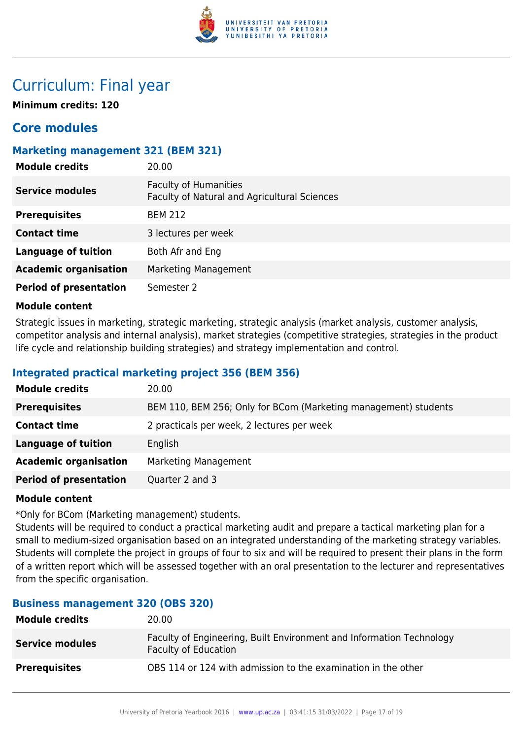

## Curriculum: Final year

**Minimum credits: 120**

### **Core modules**

#### **Marketing management 321 (BEM 321)**

| <b>Module credits</b>         | 20.00                                                                        |
|-------------------------------|------------------------------------------------------------------------------|
| <b>Service modules</b>        | <b>Faculty of Humanities</b><br>Faculty of Natural and Agricultural Sciences |
| <b>Prerequisites</b>          | <b>BEM 212</b>                                                               |
| <b>Contact time</b>           | 3 lectures per week                                                          |
| <b>Language of tuition</b>    | Both Afr and Eng                                                             |
| <b>Academic organisation</b>  | Marketing Management                                                         |
| <b>Period of presentation</b> | Semester 2                                                                   |

#### **Module content**

Strategic issues in marketing, strategic marketing, strategic analysis (market analysis, customer analysis, competitor analysis and internal analysis), market strategies (competitive strategies, strategies in the product life cycle and relationship building strategies) and strategy implementation and control.

#### **Integrated practical marketing project 356 (BEM 356)**

| <b>Module credits</b>         | 20.00                                                           |
|-------------------------------|-----------------------------------------------------------------|
| <b>Prerequisites</b>          | BEM 110, BEM 256; Only for BCom (Marketing management) students |
| <b>Contact time</b>           | 2 practicals per week, 2 lectures per week                      |
| <b>Language of tuition</b>    | English                                                         |
| <b>Academic organisation</b>  | Marketing Management                                            |
| <b>Period of presentation</b> | Quarter 2 and 3                                                 |

#### **Module content**

\*Only for BCom (Marketing management) students.

Students will be required to conduct a practical marketing audit and prepare a tactical marketing plan for a small to medium-sized organisation based on an integrated understanding of the marketing strategy variables. Students will complete the project in groups of four to six and will be required to present their plans in the form of a written report which will be assessed together with an oral presentation to the lecturer and representatives from the specific organisation.

#### **Business management 320 (OBS 320)**

| <b>Module credits</b>  | 20.00                                                                                               |
|------------------------|-----------------------------------------------------------------------------------------------------|
| <b>Service modules</b> | Faculty of Engineering, Built Environment and Information Technology<br><b>Faculty of Education</b> |
| <b>Prerequisites</b>   | OBS 114 or 124 with admission to the examination in the other                                       |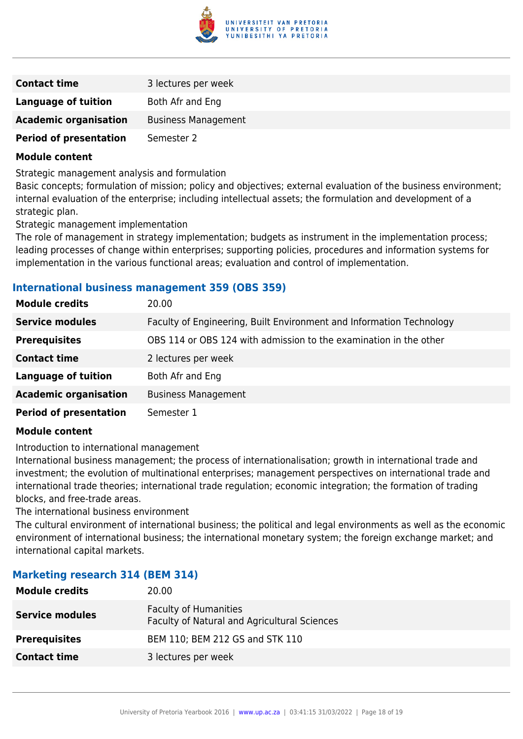

| <b>Contact time</b>           | 3 lectures per week        |
|-------------------------------|----------------------------|
| Language of tuition           | Both Afr and Eng           |
| <b>Academic organisation</b>  | <b>Business Management</b> |
| <b>Period of presentation</b> | Semester 2                 |

Strategic management analysis and formulation

Basic concepts; formulation of mission; policy and objectives; external evaluation of the business environment; internal evaluation of the enterprise; including intellectual assets; the formulation and development of a strategic plan.

Strategic management implementation

The role of management in strategy implementation; budgets as instrument in the implementation process; leading processes of change within enterprises; supporting policies, procedures and information systems for implementation in the various functional areas; evaluation and control of implementation.

#### **International business management 359 (OBS 359)**

| <b>Module credits</b>         | 20.00                                                                |
|-------------------------------|----------------------------------------------------------------------|
| <b>Service modules</b>        | Faculty of Engineering, Built Environment and Information Technology |
| <b>Prerequisites</b>          | OBS 114 or OBS 124 with admission to the examination in the other    |
| <b>Contact time</b>           | 2 lectures per week                                                  |
| <b>Language of tuition</b>    | Both Afr and Eng                                                     |
| <b>Academic organisation</b>  | <b>Business Management</b>                                           |
| <b>Period of presentation</b> | Semester 1                                                           |

#### **Module content**

Introduction to international management

International business management; the process of internationalisation; growth in international trade and investment; the evolution of multinational enterprises; management perspectives on international trade and international trade theories; international trade regulation; economic integration; the formation of trading blocks, and free-trade areas.

The international business environment

The cultural environment of international business; the political and legal environments as well as the economic environment of international business; the international monetary system; the foreign exchange market; and international capital markets.

#### **Marketing research 314 (BEM 314)**

| <b>Module credits</b>  | 20.00                                                                        |
|------------------------|------------------------------------------------------------------------------|
| <b>Service modules</b> | <b>Faculty of Humanities</b><br>Faculty of Natural and Agricultural Sciences |
| <b>Prerequisites</b>   | BEM 110; BEM 212 GS and STK 110                                              |
| <b>Contact time</b>    | 3 lectures per week                                                          |